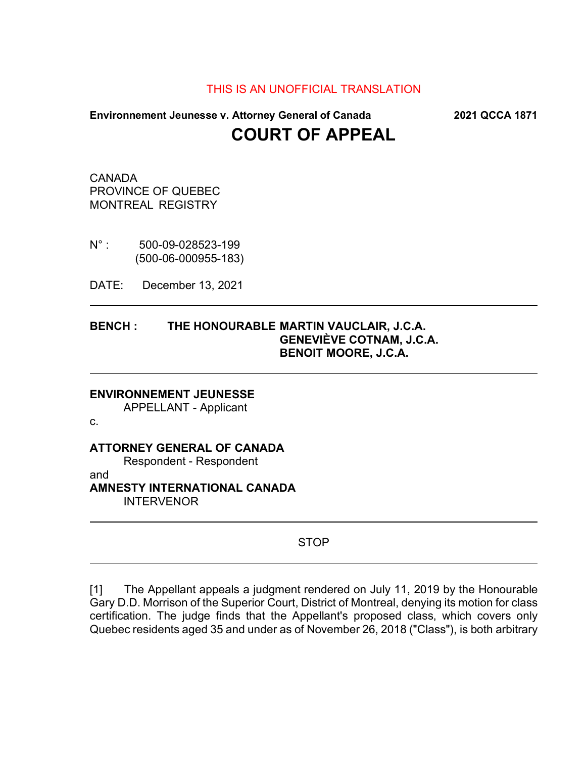## THIS IS AN UNOFFICIAL TRANSLATION

# **Environnement Jeunesse v. Attorney General of Canada 2021 QCCA 1871 COURT OF APPEAL**

CANADA PROVINCE OF QUEBEC MONTREAL REGISTRY

N° : 500-09-028523-199 (500-06-000955-183)

DATE: December 13, 2021

## **BENCH : THE HONOURABLE MARTIN VAUCLAIR, J.C.A. GENEVIÈVE COTNAM, J.C.A. BENOIT MOORE, J.C.A.**

#### **ENVIRONNEMENT JEUNESSE**

APPELLANT - Applicant

c.

## **ATTORNEY GENERAL OF CANADA**

Respondent - Respondent

and

#### **AMNESTY INTERNATIONAL CANADA** INTERVENOR

## STOP

[1] The Appellant appeals a judgment rendered on July 11, 2019 by the Honourable Gary D.D. Morrison of the Superior Court, District of Montreal, denying its motion for class certification. The judge finds that the Appellant's proposed class, which covers only Quebec residents aged 35 and under as of November 26, 2018 ("Class"), is both arbitrary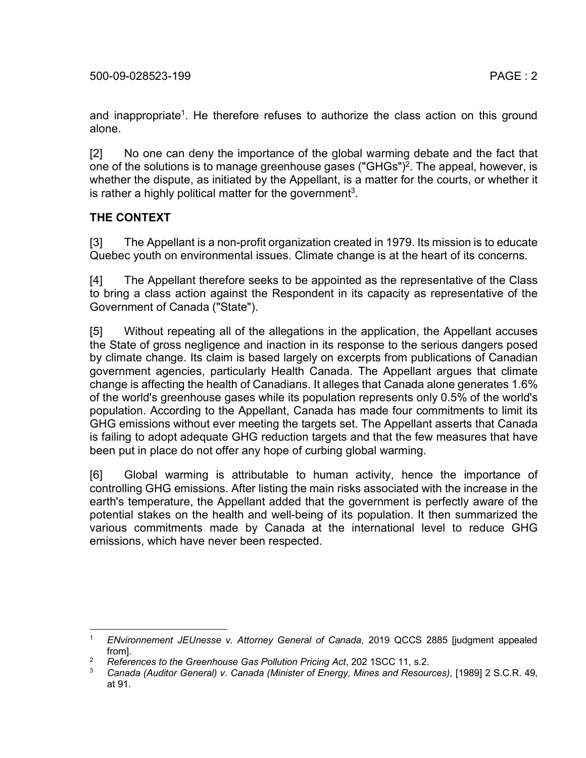and inappropriate<sup>1</sup>. He therefore refuses to authorize the class action on this ground alone.

[2] No one can deny the importance of the global warming debate and the fact that one of the solutions is to manage greenhouse gases ("GHGs")<sup>2</sup>. The appeal, however, is whether the dispute, as initiated by the Appellant, is a matter for the courts, or whether it is rather a highly political matter for the government<sup>3</sup>.

## **THE CONTEXT**

[3] The Appellant is a non-profit organization created in 1979. Its mission is to educate Quebec youth on environmental issues. Climate change is at the heart of its concerns.

[4] The Appellant therefore seeks to be appointed as the representative of the Class to bring a class action against the Respondent in its capacity as representative of the Government of Canada ("State").

[5] Without repeating all of the allegations in the application, the Appellant accuses the State of gross negligence and inaction in its response to the serious dangers posed by climate change. Its claim is based largely on excerpts from publications of Canadian government agencies, particularly Health Canada. The Appellant argues that climate change is affecting the health of Canadians. It alleges that Canada alone generates 1.6% of the world's greenhouse gases while its population represents only 0.5% of the world's population. According to the Appellant, Canada has made four commitments to limit its GHG emissions without ever meeting the targets set. The Appellant asserts that Canada is failing to adopt adequate GHG reduction targets and that the few measures that have been put in place do not offer any hope of curbing global warming.

[6] Global warming is attributable to human activity, hence the importance of controlling GHG emissions. After listing the main risks associated with the increase in the earth's temperature, the Appellant added that the government is perfectly aware of the potential stakes on the health and well-being of its population. It then summarized the various commitments made by Canada at the international level to reduce GHG emissions, which have never been respected.

 <sup>1</sup> *ENvironnement JEUnesse v. Attorney General of Canada*, 2019 QCCS 2885 [judgment appealed from].

<sup>2</sup> *References to the Greenhouse Gas Pollution Pricing Act*, 202 1SCC 11, s.2.

<sup>3</sup> *Canada (Auditor General) v. Canada (Minister of Energy, Mines and Resources)*, [1989] 2 S.C.R. 49, at 91.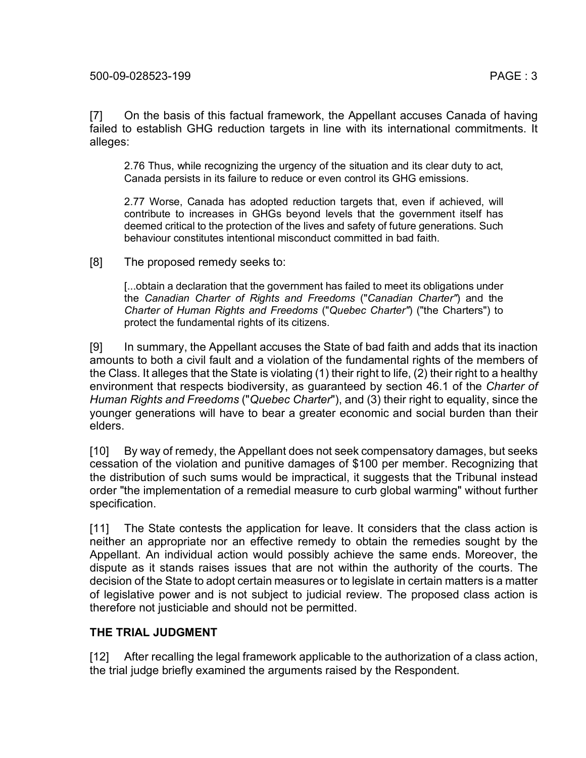2.76 Thus, while recognizing the urgency of the situation and its clear duty to act, Canada persists in its failure to reduce or even control its GHG emissions.

2.77 Worse, Canada has adopted reduction targets that, even if achieved, will contribute to increases in GHGs beyond levels that the government itself has deemed critical to the protection of the lives and safety of future generations. Such behaviour constitutes intentional misconduct committed in bad faith.

[8] The proposed remedy seeks to:

[...obtain a declaration that the government has failed to meet its obligations under the *Canadian Charter of Rights and Freedoms* ("*Canadian Charter"*) and the *Charter of Human Rights and Freedoms* ("*Quebec Charter"*) ("the Charters") to protect the fundamental rights of its citizens.

[9] In summary, the Appellant accuses the State of bad faith and adds that its inaction amounts to both a civil fault and a violation of the fundamental rights of the members of the Class. It alleges that the State is violating (1) their right to life, (2) their right to a healthy environment that respects biodiversity, as guaranteed by section 46.1 of the *Charter of Human Rights and Freedoms* ("*Quebec Charter*"), and (3) their right to equality, since the younger generations will have to bear a greater economic and social burden than their elders.

[10] By way of remedy, the Appellant does not seek compensatory damages, but seeks cessation of the violation and punitive damages of \$100 per member. Recognizing that the distribution of such sums would be impractical, it suggests that the Tribunal instead order "the implementation of a remedial measure to curb global warming" without further specification.

[11] The State contests the application for leave. It considers that the class action is neither an appropriate nor an effective remedy to obtain the remedies sought by the Appellant. An individual action would possibly achieve the same ends. Moreover, the dispute as it stands raises issues that are not within the authority of the courts. The decision of the State to adopt certain measures or to legislate in certain matters is a matter of legislative power and is not subject to judicial review. The proposed class action is therefore not justiciable and should not be permitted.

## **THE TRIAL JUDGMENT**

[12] After recalling the legal framework applicable to the authorization of a class action, the trial judge briefly examined the arguments raised by the Respondent.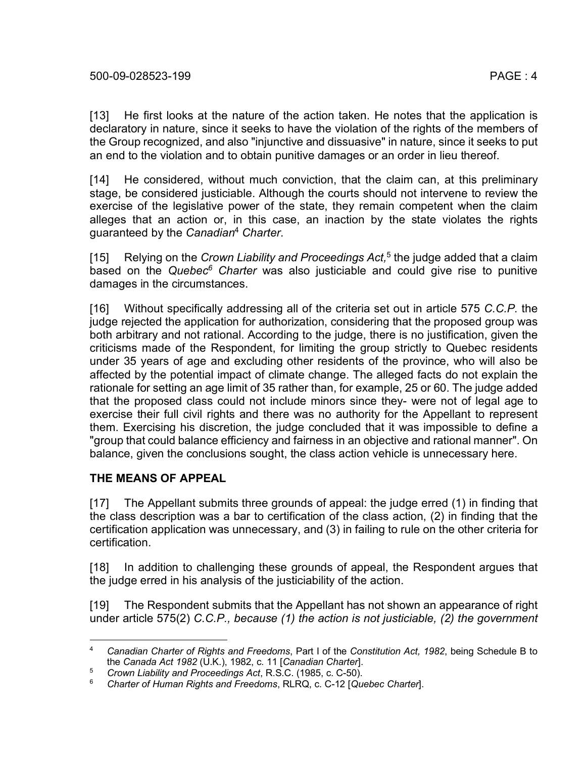[13] He first looks at the nature of the action taken. He notes that the application is declaratory in nature, since it seeks to have the violation of the rights of the members of the Group recognized, and also "injunctive and dissuasive" in nature, since it seeks to put an end to the violation and to obtain punitive damages or an order in lieu thereof.

[14] He considered, without much conviction, that the claim can, at this preliminary stage, be considered justiciable. Although the courts should not intervene to review the exercise of the legislative power of the state, they remain competent when the claim alleges that an action or, in this case, an inaction by the state violates the rights guaranteed by the *Canadian*<sup>4</sup> *Charter*.

[15] Relying on the *Crown Liability and Proceedings Act,*<sup>5</sup> the judge added that a claim based on the *Quebec6 Charter* was also justiciable and could give rise to punitive damages in the circumstances.

[16] Without specifically addressing all of the criteria set out in article 575 *C.C.P.* the judge rejected the application for authorization, considering that the proposed group was both arbitrary and not rational. According to the judge, there is no justification, given the criticisms made of the Respondent, for limiting the group strictly to Quebec residents under 35 years of age and excluding other residents of the province, who will also be affected by the potential impact of climate change. The alleged facts do not explain the rationale for setting an age limit of 35 rather than, for example, 25 or 60. The judge added that the proposed class could not include minors since they- were not of legal age to exercise their full civil rights and there was no authority for the Appellant to represent them. Exercising his discretion, the judge concluded that it was impossible to define a "group that could balance efficiency and fairness in an objective and rational manner". On balance, given the conclusions sought, the class action vehicle is unnecessary here.

## **THE MEANS OF APPEAL**

[17] The Appellant submits three grounds of appeal: the judge erred (1) in finding that the class description was a bar to certification of the class action, (2) in finding that the certification application was unnecessary, and (3) in failing to rule on the other criteria for certification.

[18] In addition to challenging these grounds of appeal, the Respondent argues that the judge erred in his analysis of the justiciability of the action.

[19] The Respondent submits that the Appellant has not shown an appearance of right under article 575(2) *C.C.P., because (1) the action is not justiciable, (2) the government* 

 <sup>4</sup> *Canadian Charter of Rights and Freedoms*, Part I of the *Constitution Act, 1982*, being Schedule B to the *Canada Act 1982* (U.K.), 1982, c. 11 [*Canadian Charter*].

<sup>5</sup> *Crown Liability and Proceedings Act*, R.S.C. (1985, c. C-50).

<sup>6</sup> *Charter of Human Rights and Freedoms*, RLRQ, c. C-12 [*Quebec Charter*].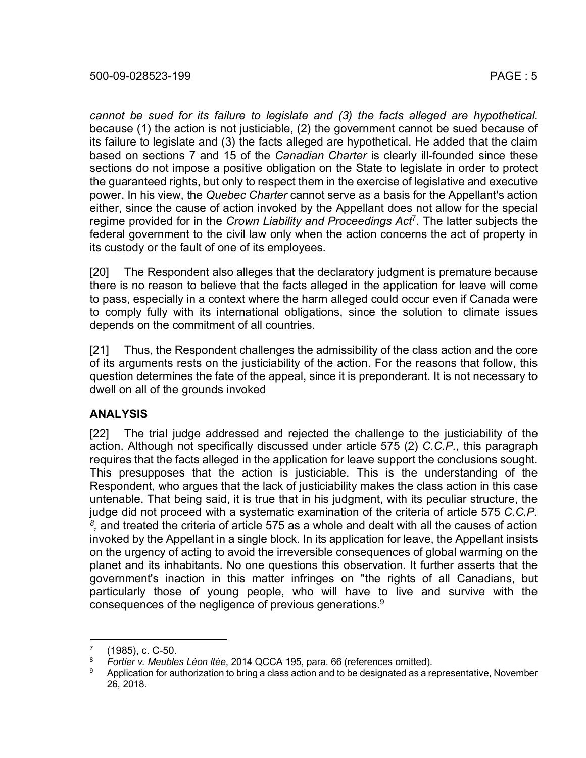*cannot be sued for its failure to legislate and (3) the facts alleged are hypothetical.*  because (1) the action is not justiciable, (2) the government cannot be sued because of its failure to legislate and (3) the facts alleged are hypothetical. He added that the claim based on sections 7 and 15 of the *Canadian Charter* is clearly ill-founded since these sections do not impose a positive obligation on the State to legislate in order to protect the guaranteed rights, but only to respect them in the exercise of legislative and executive power. In his view, the *Quebec Charter* cannot serve as a basis for the Appellant's action either, since the cause of action invoked by the Appellant does not allow for the special regime provided for in the *Crown Liability and Proceedings Act*7. The latter subjects the federal government to the civil law only when the action concerns the act of property in its custody or the fault of one of its employees.

[20] The Respondent also alleges that the declaratory judgment is premature because there is no reason to believe that the facts alleged in the application for leave will come to pass, especially in a context where the harm alleged could occur even if Canada were to comply fully with its international obligations, since the solution to climate issues depends on the commitment of all countries.

[21] Thus, the Respondent challenges the admissibility of the class action and the core of its arguments rests on the justiciability of the action. For the reasons that follow, this question determines the fate of the appeal, since it is preponderant. It is not necessary to dwell on all of the grounds invoked

## **ANALYSIS**

[22] The trial judge addressed and rejected the challenge to the justiciability of the action. Although not specifically discussed under article 575 (2) *C.C.P.*, this paragraph requires that the facts alleged in the application for leave support the conclusions sought. This presupposes that the action is justiciable. This is the understanding of the Respondent, who argues that the lack of justiciability makes the class action in this case untenable. That being said, it is true that in his judgment, with its peculiar structure, the judge did not proceed with a systematic examination of the criteria of article 575 *C.C.P. 8,* and treated the criteria of article 575 as a whole and dealt with all the causes of action invoked by the Appellant in a single block. In its application for leave, the Appellant insists on the urgency of acting to avoid the irreversible consequences of global warming on the planet and its inhabitants. No one questions this observation. It further asserts that the government's inaction in this matter infringes on "the rights of all Canadians, but particularly those of young people, who will have to live and survive with the consequences of the negligence of previous generations.<sup>9</sup>

 $^{7}$  (1985), c. C-50.

<sup>8</sup> *Fortier v. Meubles Léon ltée*, 2014 QCCA 195, para. 66 (references omitted).

Application for authorization to bring a class action and to be designated as a representative, November 26, 2018.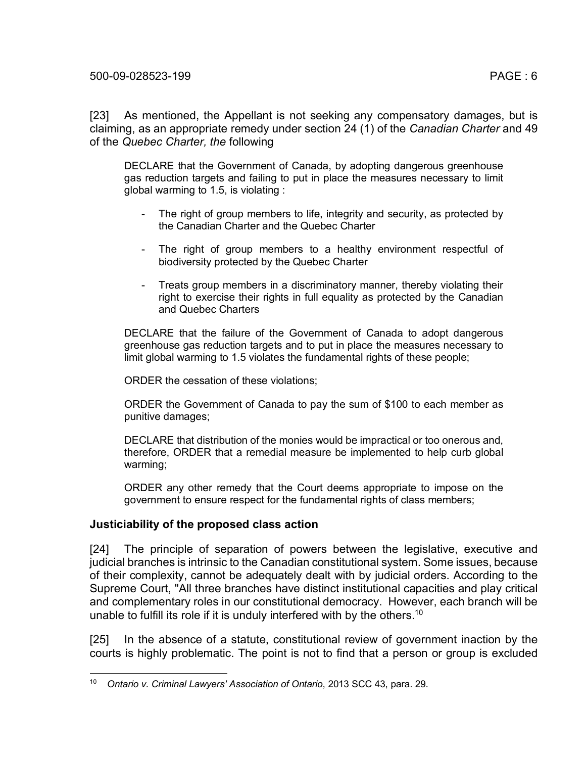[23] As mentioned, the Appellant is not seeking any compensatory damages, but is claiming, as an appropriate remedy under section 24 (1) of the *Canadian Charter* and 49 of the *Quebec Charter, the* following

DECLARE that the Government of Canada, by adopting dangerous greenhouse gas reduction targets and failing to put in place the measures necessary to limit global warming to 1.5, is violating :

- The right of group members to life, integrity and security, as protected by the Canadian Charter and the Quebec Charter
- The right of group members to a healthy environment respectful of biodiversity protected by the Quebec Charter
- Treats group members in a discriminatory manner, thereby violating their right to exercise their rights in full equality as protected by the Canadian and Quebec Charters

DECLARE that the failure of the Government of Canada to adopt dangerous greenhouse gas reduction targets and to put in place the measures necessary to limit global warming to 1.5 violates the fundamental rights of these people;

ORDER the cessation of these violations;

ORDER the Government of Canada to pay the sum of \$100 to each member as punitive damages;

DECLARE that distribution of the monies would be impractical or too onerous and, therefore, ORDER that a remedial measure be implemented to help curb global warming;

ORDER any other remedy that the Court deems appropriate to impose on the government to ensure respect for the fundamental rights of class members;

## **Justiciability of the proposed class action**

[24] The principle of separation of powers between the legislative, executive and judicial branches is intrinsic to the Canadian constitutional system. Some issues, because of their complexity, cannot be adequately dealt with by judicial orders. According to the Supreme Court, "All three branches have distinct institutional capacities and play critical and complementary roles in our constitutional democracy. However, each branch will be unable to fulfill its role if it is unduly interfered with by the others.<sup>10</sup>

[25] In the absence of a statute, constitutional review of government inaction by the courts is highly problematic. The point is not to find that a person or group is excluded

 <sup>10</sup> *Ontario v. Criminal Lawyers' Association of Ontario*, 2013 SCC 43, para. 29.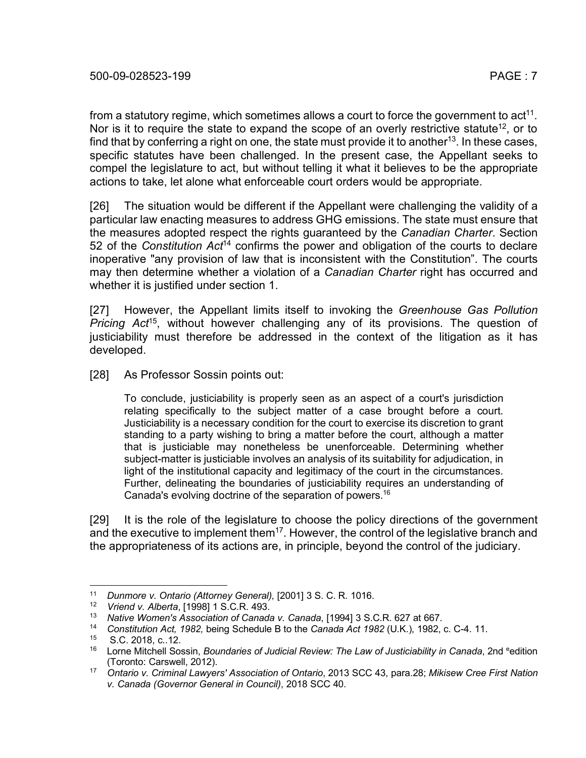from a statutory regime, which sometimes allows a court to force the government to  $act<sup>11</sup>$ . Nor is it to require the state to expand the scope of an overly restrictive statute<sup>12</sup>, or to find that by conferring a right on one, the state must provide it to another<sup>13</sup>. In these cases, specific statutes have been challenged. In the present case, the Appellant seeks to compel the legislature to act, but without telling it what it believes to be the appropriate actions to take, let alone what enforceable court orders would be appropriate.

[26] The situation would be different if the Appellant were challenging the validity of a particular law enacting measures to address GHG emissions. The state must ensure that the measures adopted respect the rights guaranteed by the *Canadian Charter*. Section 52 of the *Constitution Act*<sup>14</sup> confirms the power and obligation of the courts to declare inoperative "any provision of law that is inconsistent with the Constitution". The courts may then determine whether a violation of a *Canadian Charter* right has occurred and whether it is justified under section 1.

[27] However, the Appellant limits itself to invoking the *Greenhouse Gas Pollution Pricing Act*15, without however challenging any of its provisions. The question of justiciability must therefore be addressed in the context of the litigation as it has developed.

[28] As Professor Sossin points out:

To conclude, justiciability is properly seen as an aspect of a court's jurisdiction relating specifically to the subject matter of a case brought before a court. Justiciability is a necessary condition for the court to exercise its discretion to grant standing to a party wishing to bring a matter before the court, although a matter that is justiciable may nonetheless be unenforceable. Determining whether subject-matter is justiciable involves an analysis of its suitability for adjudication, in light of the institutional capacity and legitimacy of the court in the circumstances. Further, delineating the boundaries of justiciability requires an understanding of Canada's evolving doctrine of the separation of powers.16

[29] It is the role of the legislature to choose the policy directions of the government and the executive to implement them<sup>17</sup>. However, the control of the legislative branch and the appropriateness of its actions are, in principle, beyond the control of the judiciary.

 <sup>11</sup> *Dunmore v. Ontario (Attorney General),* [2001] 3 S. C. R. 1016.

<sup>12</sup> *Vriend v. Alberta*, [1998] 1 S.C.R. 493.

<sup>13</sup> *Native Women's Association of Canada v. Canada*, [1994] 3 S.C.R. 627 at 667.

<sup>14</sup> *Constitution Act, 1982,* being Schedule B to the *Canada Act 1982* (U.K.), 1982, c. C-4. 11.

<sup>15</sup> S.C. 2018, c..12.

<sup>&</sup>lt;sup>16</sup> Lorne Mitchell Sossin, *Boundaries of Judicial Review: The Law of Justiciability in Canada*, 2nd <sup>e</sup>edition (Toronto: Carswell, 2012).

<sup>17</sup> *Ontario v. Criminal Lawyers' Association of Ontario*, 2013 SCC 43, para.28; *Mikisew Cree First Nation v. Canada (Governor General in Council)*, 2018 SCC 40.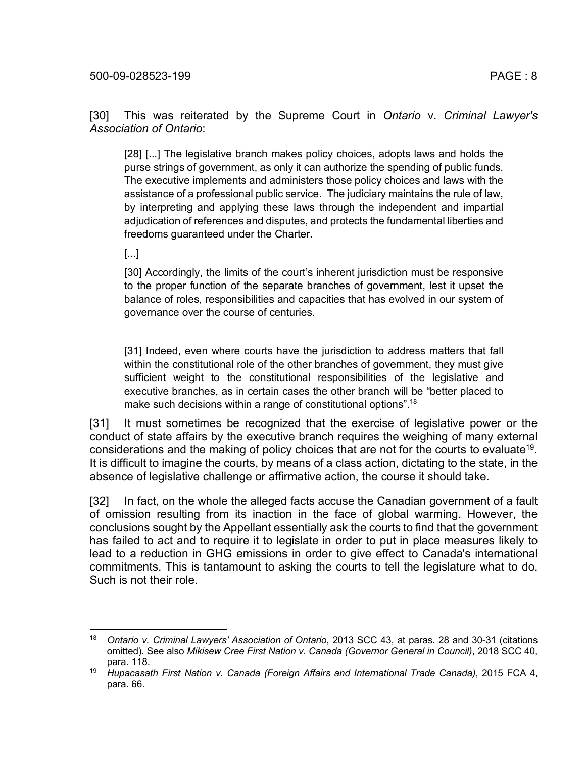[30] This was reiterated by the Supreme Court in *Ontario* v. *Criminal Lawyer's Association of Ontario*:

[28] [...] The legislative branch makes policy choices, adopts laws and holds the purse strings of government, as only it can authorize the spending of public funds. The executive implements and administers those policy choices and laws with the assistance of a professional public service. The judiciary maintains the rule of law, by interpreting and applying these laws through the independent and impartial adjudication of references and disputes, and protects the fundamental liberties and freedoms guaranteed under the Charter.

[...]

[30] Accordingly, the limits of the court's inherent jurisdiction must be responsive to the proper function of the separate branches of government, lest it upset the balance of roles, responsibilities and capacities that has evolved in our system of governance over the course of centuries.

[31] Indeed, even where courts have the jurisdiction to address matters that fall within the constitutional role of the other branches of government, they must give sufficient weight to the constitutional responsibilities of the legislative and executive branches, as in certain cases the other branch will be "better placed to make such decisions within a range of constitutional options".<sup>18</sup>

[31] It must sometimes be recognized that the exercise of legislative power or the conduct of state affairs by the executive branch requires the weighing of many external considerations and the making of policy choices that are not for the courts to evaluate<sup>19</sup>. It is difficult to imagine the courts, by means of a class action, dictating to the state, in the absence of legislative challenge or affirmative action, the course it should take.

[32] In fact, on the whole the alleged facts accuse the Canadian government of a fault of omission resulting from its inaction in the face of global warming. However, the conclusions sought by the Appellant essentially ask the courts to find that the government has failed to act and to require it to legislate in order to put in place measures likely to lead to a reduction in GHG emissions in order to give effect to Canada's international commitments. This is tantamount to asking the courts to tell the legislature what to do. Such is not their role.

 <sup>18</sup> *Ontario v. Criminal Lawyers' Association of Ontario*, 2013 SCC 43, at paras. 28 and 30-31 (citations omitted). See also *Mikisew Cree First Nation v. Canada (Governor General in Council)*, 2018 SCC 40, para. 118.

<sup>19</sup> *Hupacasath First Nation v. Canada (Foreign Affairs and International Trade Canada)*, 2015 FCA 4, para. 66.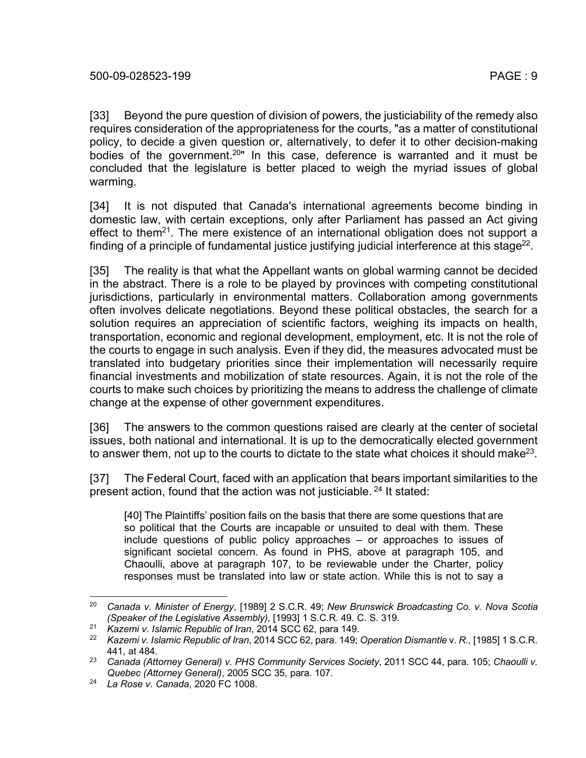[33] Beyond the pure question of division of powers, the justiciability of the remedy also requires consideration of the appropriateness for the courts, "as a matter of constitutional policy, to decide a given question or, alternatively, to defer it to other decision-making bodies of the government.<sup>20</sup>" In this case, deference is warranted and it must be concluded that the legislature is better placed to weigh the myriad issues of global warming.

[34] It is not disputed that Canada's international agreements become binding in domestic law, with certain exceptions, only after Parliament has passed an Act giving effect to them<sup>21</sup>. The mere existence of an international obligation does not support a finding of a principle of fundamental justice justifying judicial interference at this stage<sup>22</sup>.

[35] The reality is that what the Appellant wants on global warming cannot be decided in the abstract. There is a role to be played by provinces with competing constitutional jurisdictions, particularly in environmental matters. Collaboration among governments often involves delicate negotiations. Beyond these political obstacles, the search for a solution requires an appreciation of scientific factors, weighing its impacts on health, transportation, economic and regional development, employment, etc. It is not the role of the courts to engage in such analysis. Even if they did, the measures advocated must be translated into budgetary priorities since their implementation will necessarily require financial investments and mobilization of state resources. Again, it is not the role of the courts to make such choices by prioritizing the means to address the challenge of climate change at the expense of other government expenditures.

[36] The answers to the common questions raised are clearly at the center of societal issues, both national and international. It is up to the democratically elected government to answer them, not up to the courts to dictate to the state what choices it should make<sup>23</sup>.

[37] The Federal Court, faced with an application that bears important similarities to the present action, found that the action was not justiciable.<sup>24</sup> It stated:

[40] The Plaintiffs' position fails on the basis that there are some questions that are so political that the Courts are incapable or unsuited to deal with them. These include questions of public policy approaches – or approaches to issues of significant societal concern. As found in PHS, above at paragraph 105, and Chaoulli, above at paragraph 107, to be reviewable under the Charter, policy responses must be translated into law or state action. While this is not to say a

 <sup>20</sup> *Canada v. Minister of Energy*, [1989] 2 S.C.R. 49; *New Brunswick Broadcasting Co. v. Nova Scotia (Speaker of the Legislative Assembly),* [1993] 1 S.C.R. 49. C. S. 319.

<sup>21</sup> *Kazemi v. Islamic Republic of Iran*, 2014 SCC 62, para 149.

<sup>22</sup> *Kazemi v. Islamic Republic of Iran*, 2014 SCC 62, para. 149; *Operation Dismantle* v. *R.*, [1985] 1 S.C.R. 441, at 484.

<sup>23</sup> *Canada (Attorney General) v. PHS Community Services Society*, 2011 SCC 44, para. 105; *Chaoulli v. Quebec (Attorney General)*, 2005 SCC 35, para. 107.

<sup>24</sup> *La Rose v. Canada*, 2020 FC 1008.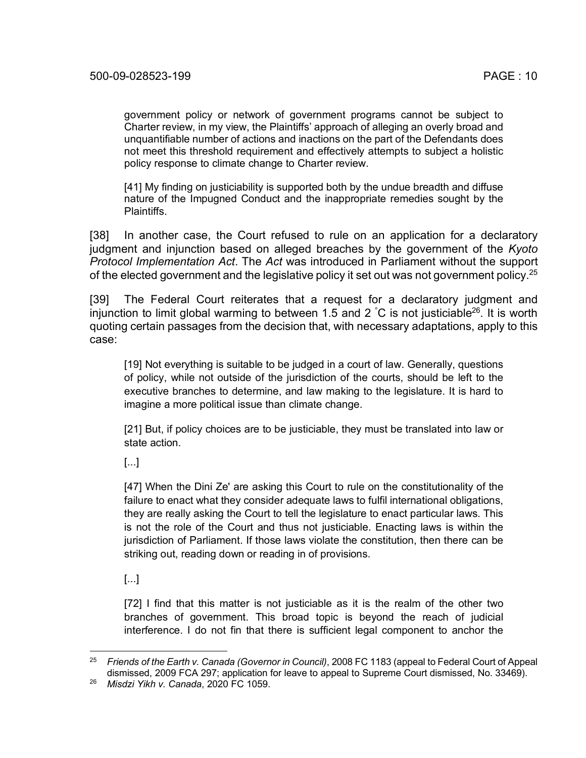government policy or network of government programs cannot be subject to Charter review, in my view, the Plaintiffs' approach of alleging an overly broad and unquantifiable number of actions and inactions on the part of the Defendants does not meet this threshold requirement and effectively attempts to subject a holistic policy response to climate change to Charter review.

[41] My finding on justiciability is supported both by the undue breadth and diffuse nature of the Impugned Conduct and the inappropriate remedies sought by the Plaintiffs.

[38] In another case, the Court refused to rule on an application for a declaratory judgment and injunction based on alleged breaches by the government of the *Kyoto Protocol Implementation Act*. The *Act* was introduced in Parliament without the support of the elected government and the legislative policy it set out was not government policy.<sup>25</sup>

[39] The Federal Court reiterates that a request for a declaratory judgment and injunction to limit global warming to between 1.5 and 2  $^{\circ}$ C is not justiciable<sup>26</sup>. It is worth quoting certain passages from the decision that, with necessary adaptations, apply to this case:

[19] Not everything is suitable to be judged in a court of law. Generally, questions of policy, while not outside of the jurisdiction of the courts, should be left to the executive branches to determine, and law making to the legislature. It is hard to imagine a more political issue than climate change.

[21] But, if policy choices are to be justiciable, they must be translated into law or state action.

[...]

[47] When the Dini Ze' are asking this Court to rule on the constitutionality of the failure to enact what they consider adequate laws to fulfil international obligations, they are really asking the Court to tell the legislature to enact particular laws. This is not the role of the Court and thus not justiciable. Enacting laws is within the jurisdiction of Parliament. If those laws violate the constitution, then there can be striking out, reading down or reading in of provisions.

[...]

[72] I find that this matter is not justiciable as it is the realm of the other two branches of government. This broad topic is beyond the reach of judicial interference. I do not fin that there is sufficient legal component to anchor the

 <sup>25</sup> *Friends of the Earth v. Canada (Governor in Council)*, 2008 FC 1183 (appeal to Federal Court of Appeal dismissed, 2009 FCA 297; application for leave to appeal to Supreme Court dismissed, No. 33469).

<sup>26</sup> *Misdzi Yikh v. Canada*, 2020 FC 1059.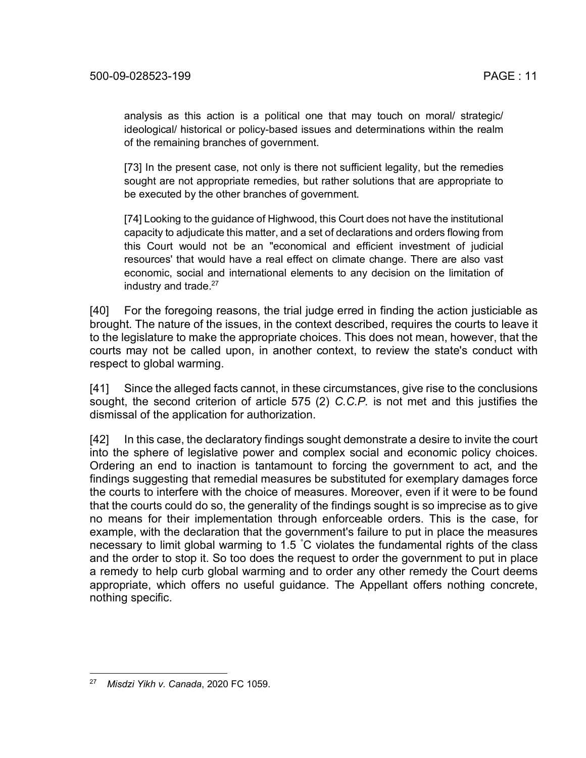analysis as this action is a political one that may touch on moral/ strategic/ ideological/ historical or policy-based issues and determinations within the realm of the remaining branches of government.

[73] In the present case, not only is there not sufficient legality, but the remedies sought are not appropriate remedies, but rather solutions that are appropriate to be executed by the other branches of government.

[74] Looking to the guidance of Highwood, this Court does not have the institutional capacity to adjudicate this matter, and a set of declarations and orders flowing from this Court would not be an "economical and efficient investment of judicial resources' that would have a real effect on climate change. There are also vast economic, social and international elements to any decision on the limitation of industry and trade. $27$ 

[40] For the foregoing reasons, the trial judge erred in finding the action justiciable as brought. The nature of the issues, in the context described, requires the courts to leave it to the legislature to make the appropriate choices. This does not mean, however, that the courts may not be called upon, in another context, to review the state's conduct with respect to global warming.

[41] Since the alleged facts cannot, in these circumstances, give rise to the conclusions sought, the second criterion of article 575 (2) *C.C.P.* is not met and this justifies the dismissal of the application for authorization.

[42] In this case, the declaratory findings sought demonstrate a desire to invite the court into the sphere of legislative power and complex social and economic policy choices. Ordering an end to inaction is tantamount to forcing the government to act, and the findings suggesting that remedial measures be substituted for exemplary damages force the courts to interfere with the choice of measures. Moreover, even if it were to be found that the courts could do so, the generality of the findings sought is so imprecise as to give no means for their implementation through enforceable orders. This is the case, for example, with the declaration that the government's failure to put in place the measures necessary to limit global warming to 1.5 ° C violates the fundamental rights of the class and the order to stop it. So too does the request to order the government to put in place a remedy to help curb global warming and to order any other remedy the Court deems appropriate, which offers no useful guidance. The Appellant offers nothing concrete, nothing specific.

 <sup>27</sup> *Misdzi Yikh v. Canada*, 2020 FC 1059.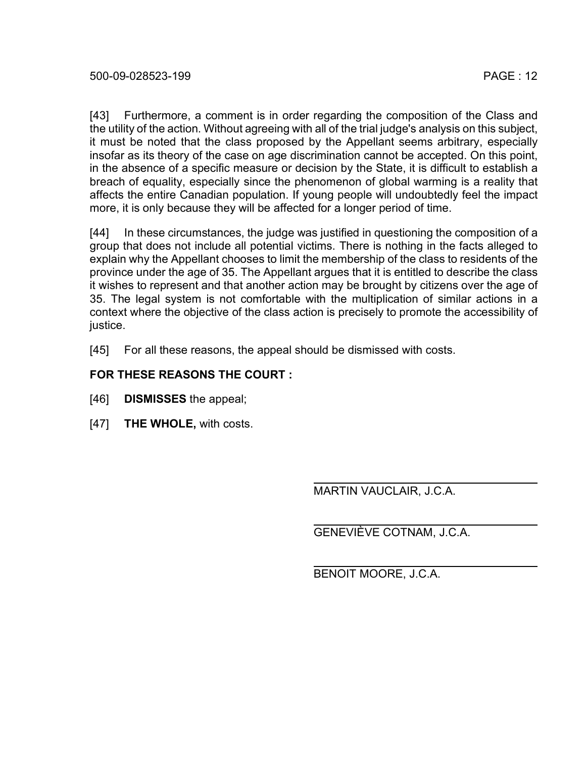[43] Furthermore, a comment is in order regarding the composition of the Class and the utility of the action. Without agreeing with all of the trial judge's analysis on this subject, it must be noted that the class proposed by the Appellant seems arbitrary, especially insofar as its theory of the case on age discrimination cannot be accepted. On this point, in the absence of a specific measure or decision by the State, it is difficult to establish a breach of equality, especially since the phenomenon of global warming is a reality that affects the entire Canadian population. If young people will undoubtedly feel the impact more, it is only because they will be affected for a longer period of time.

[44] In these circumstances, the judge was justified in questioning the composition of a group that does not include all potential victims. There is nothing in the facts alleged to explain why the Appellant chooses to limit the membership of the class to residents of the province under the age of 35. The Appellant argues that it is entitled to describe the class it wishes to represent and that another action may be brought by citizens over the age of 35. The legal system is not comfortable with the multiplication of similar actions in a context where the objective of the class action is precisely to promote the accessibility of justice.

[45] For all these reasons, the appeal should be dismissed with costs.

## **FOR THESE REASONS THE COURT :**

- [46] **DISMISSES** the appeal;
- [47] **THE WHOLE,** with costs.

MARTIN VAUCLAIR, J.C.A.

GENEVIÈVE COTNAM, J.C.A.

BENOIT MOORE, J.C.A.